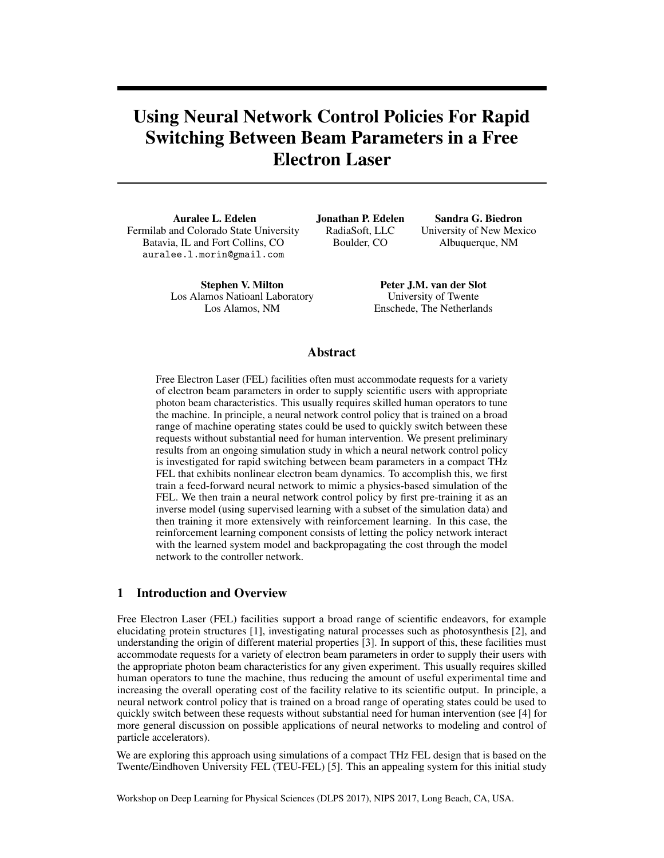# Using Neural Network Control Policies For Rapid Switching Between Beam Parameters in a Free Electron Laser

Auralee L. Edelen Fermilab and Colorado State University Batavia, IL and Fort Collins, CO auralee.l.morin@gmail.com

> Stephen V. Milton Los Alamos Natioanl Laboratory Los Alamos, NM

Jonathan P. Edelen RadiaSoft, LLC Boulder, CO

Sandra G. Biedron University of New Mexico Albuquerque, NM

Peter J.M. van der Slot University of Twente Enschede, The Netherlands

## Abstract

Free Electron Laser (FEL) facilities often must accommodate requests for a variety of electron beam parameters in order to supply scientific users with appropriate photon beam characteristics. This usually requires skilled human operators to tune the machine. In principle, a neural network control policy that is trained on a broad range of machine operating states could be used to quickly switch between these requests without substantial need for human intervention. We present preliminary results from an ongoing simulation study in which a neural network control policy is investigated for rapid switching between beam parameters in a compact THz FEL that exhibits nonlinear electron beam dynamics. To accomplish this, we first train a feed-forward neural network to mimic a physics-based simulation of the FEL. We then train a neural network control policy by first pre-training it as an inverse model (using supervised learning with a subset of the simulation data) and then training it more extensively with reinforcement learning. In this case, the reinforcement learning component consists of letting the policy network interact with the learned system model and backpropagating the cost through the model network to the controller network.

# 1 Introduction and Overview

Free Electron Laser (FEL) facilities support a broad range of scientific endeavors, for example elucidating protein structures [1], investigating natural processes such as photosynthesis [2], and understanding the origin of different material properties [3]. In support of this, these facilities must accommodate requests for a variety of electron beam parameters in order to supply their users with the appropriate photon beam characteristics for any given experiment. This usually requires skilled human operators to tune the machine, thus reducing the amount of useful experimental time and increasing the overall operating cost of the facility relative to its scientific output. In principle, a neural network control policy that is trained on a broad range of operating states could be used to quickly switch between these requests without substantial need for human intervention (see [4] for more general discussion on possible applications of neural networks to modeling and control of particle accelerators).

We are exploring this approach using simulations of a compact THz FEL design that is based on the Twente/Eindhoven University FEL (TEU-FEL) [5]. This an appealing system for this initial study

Workshop on Deep Learning for Physical Sciences (DLPS 2017), NIPS 2017, Long Beach, CA, USA.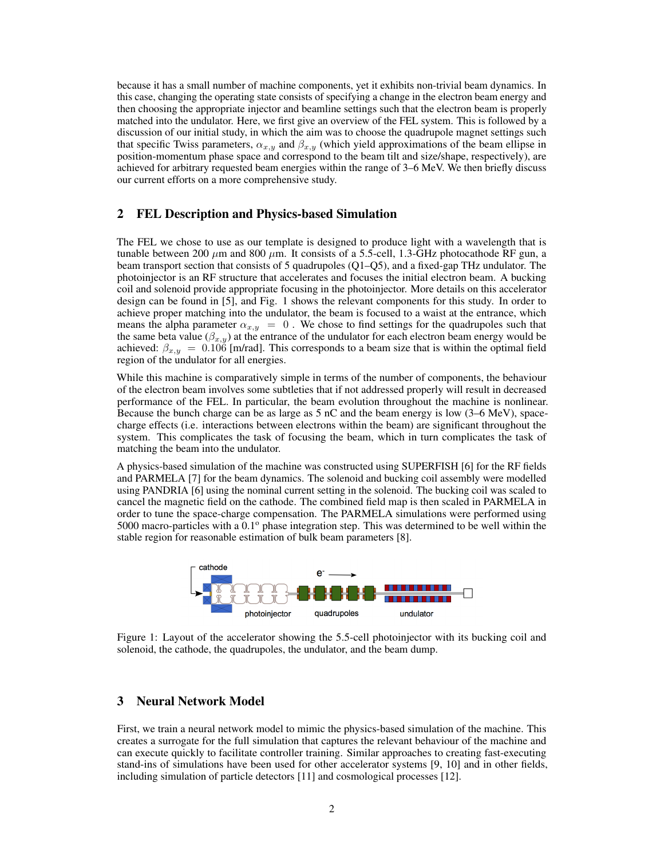because it has a small number of machine components, yet it exhibits non-trivial beam dynamics. In this case, changing the operating state consists of specifying a change in the electron beam energy and then choosing the appropriate injector and beamline settings such that the electron beam is properly matched into the undulator. Here, we first give an overview of the FEL system. This is followed by a discussion of our initial study, in which the aim was to choose the quadrupole magnet settings such that specific Twiss parameters,  $\alpha_{x,y}$  and  $\beta_{x,y}$  (which yield approximations of the beam ellipse in position-momentum phase space and correspond to the beam tilt and size/shape, respectively), are achieved for arbitrary requested beam energies within the range of 3–6 MeV. We then briefly discuss our current efforts on a more comprehensive study.

#### 2 FEL Description and Physics-based Simulation

The FEL we chose to use as our template is designed to produce light with a wavelength that is tunable between 200  $\mu$ m and 800  $\mu$ m. It consists of a 5.5-cell, 1.3-GHz photocathode RF gun, a beam transport section that consists of 5 quadrupoles (Q1–Q5), and a fixed-gap THz undulator. The photoinjector is an RF structure that accelerates and focuses the initial electron beam. A bucking coil and solenoid provide appropriate focusing in the photoinjector. More details on this accelerator design can be found in [5], and Fig. 1 shows the relevant components for this study. In order to achieve proper matching into the undulator, the beam is focused to a waist at the entrance, which means the alpha parameter  $\alpha_{x,y} = 0$ . We chose to find settings for the quadrupoles such that the same beta value ( $\beta_{x,y}$ ) at the entrance of the undulator for each electron beam energy would be achieved:  $\beta_{x,y} = 0.106$  [m/rad]. This corresponds to a beam size that is within the optimal field region of the undulator for all energies.

While this machine is comparatively simple in terms of the number of components, the behaviour of the electron beam involves some subtleties that if not addressed properly will result in decreased performance of the FEL. In particular, the beam evolution throughout the machine is nonlinear. Because the bunch charge can be as large as 5 nC and the beam energy is low (3–6 MeV), spacecharge effects (i.e. interactions between electrons within the beam) are significant throughout the system. This complicates the task of focusing the beam, which in turn complicates the task of matching the beam into the undulator.

A physics-based simulation of the machine was constructed using SUPERFISH [6] for the RF fields and PARMELA [7] for the beam dynamics. The solenoid and bucking coil assembly were modelled using PANDRIA [6] using the nominal current setting in the solenoid. The bucking coil was scaled to cancel the magnetic field on the cathode. The combined field map is then scaled in PARMELA in order to tune the space-charge compensation. The PARMELA simulations were performed using 5000 macro-particles with a  $0.1^{\circ}$  phase integration step. This was determined to be well within the stable region for reasonable estimation of bulk beam parameters [8].



Figure 1: Layout of the accelerator showing the 5.5-cell photoinjector with its bucking coil and solenoid, the cathode, the quadrupoles, the undulator, and the beam dump.

#### 3 Neural Network Model

First, we train a neural network model to mimic the physics-based simulation of the machine. This creates a surrogate for the full simulation that captures the relevant behaviour of the machine and can execute quickly to facilitate controller training. Similar approaches to creating fast-executing stand-ins of simulations have been used for other accelerator systems [9, 10] and in other fields, including simulation of particle detectors [11] and cosmological processes [12].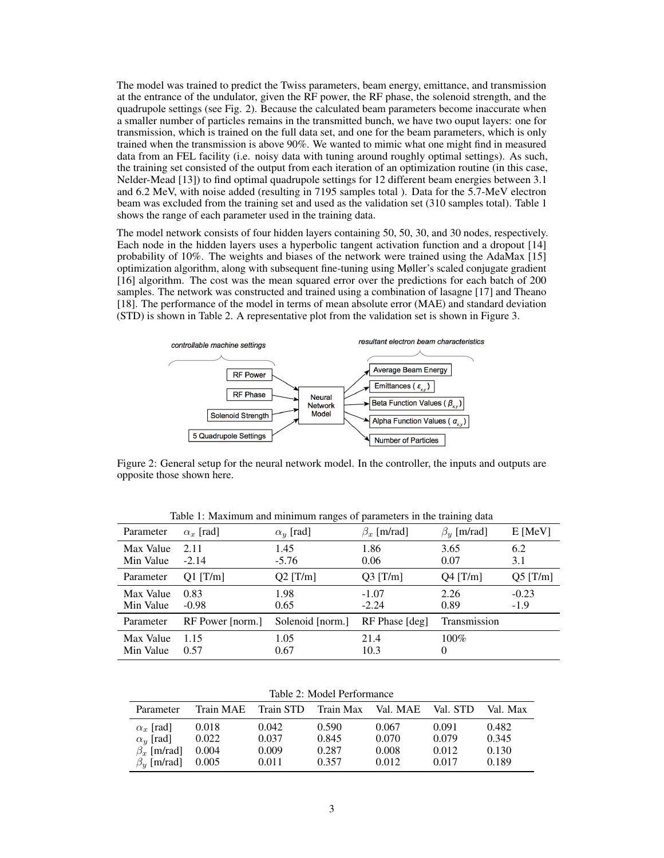The model was trained to predict the Twiss parameters, beam energy, emittance, and transmission at the entrance of the undulator, given the RF power, the RF phase, the solenoid strength, and the quadrupole settings (see Fig. 2). Because the calculated beam parameters become inaccurate when a smaller number of particles remains in the transmitted bunch, we have two ouput layers: one for transmission, which is trained on the full data set, and one for the beam parameters, which is only trained when the transmission is above 90%. We wanted to mimic what one might find in measured data from an FEL facility (i.e. noisy data with tuning around roughly optimal settings). As such, the training set consisted of the output from each iteration of an optimization routine (in this case, Nelder-Mead [13]) to find optimal quadrupole settings for 12 different beam energies between 3.1 and 6.2 MeV, with noise added (resulting in 7195 samples total ). Data for the 5.7-MeV electron beam was excluded from the training set and used as the validation set (310 samples total). Table 1 shows the range of each parameter used in the training data.

The model network consists of four hidden layers containing 50, 50, 30, and 30 nodes, respectively. Each node in the hidden layers uses a hyperbolic tangent activation function and a dropout [14] probability of 10%. The weights and biases of the network were trained using the AdaMax [15] optimization algorithm, along with subsequent fine-tuning using Møller's scaled conjugate gradient [16] algorithm. The cost was the mean squared error over the predictions for each batch of 200 samples. The network was constructed and trained using a combination of lasagne [17] and Theano [18]. The performance of the model in terms of mean absolute error (MAE) and standard deviation (STD) is shown in Table 2. A representative plot from the validation set is shown in Figure 3.



Figure 2: General setup for the neural network model. In the controller, the inputs and outputs are opposite those shown here.

| Parameter              | $\alpha_r$ [rad] | $\alpha_y$ [rad] | $\beta_r$ [m/rad]  | $\beta_{\rm v}$ [m/rad] | $E$ [MeV]         |
|------------------------|------------------|------------------|--------------------|-------------------------|-------------------|
| Max Value<br>Min Value | 2.11<br>$-2.14$  | 1.45<br>$-5.76$  | 1.86<br>0.06       | 3.65<br>0.07            | 6.2<br>3.1        |
| Parameter              | $Q1$ [T/m]       | $Q2$ [T/m]       | $Q3$ [T/m]         | $Q4$ [T/m]              | $Q5$ [T/m]        |
| Max Value<br>Min Value | 0.83<br>$-0.98$  | 1.98<br>0.65     | $-1.07$<br>$-2.24$ | 2.26<br>0.89            | $-0.23$<br>$-1.9$ |
| Parameter              | RF Power [norm.] | Solenoid [norm.] | RF Phase [deg]     | Transmission            |                   |
| Max Value<br>Min Value | 1.15<br>0.57     | 1.05<br>0.67     | 21.4<br>10.3       | $100\%$<br>0            |                   |

Table 1: Maximum and minimum ranges of parameters in the training data

Table 2: Model Performance

| Parameter         |       | Train MAE Train STD | Train Max Val. MAE |       | Val. STD | Val. Max |
|-------------------|-------|---------------------|--------------------|-------|----------|----------|
| $\alpha_r$ [rad]  | 0.018 | 0.042               | 0.590              | 0.067 | 0.091    | 0.482    |
| $\alpha_y$ [rad]  | 0.022 | 0.037               | 0.845              | 0.070 | 0.079    | 0.345    |
| $\beta_r$ [m/rad] | 0.004 | 0.009               | 0.287              | 0.008 | 0.012    | 0.130    |
| $\beta_y$ [m/rad] | 0.005 | 0.011               | 0.357              | 0.012 | 0.017    | 0.189    |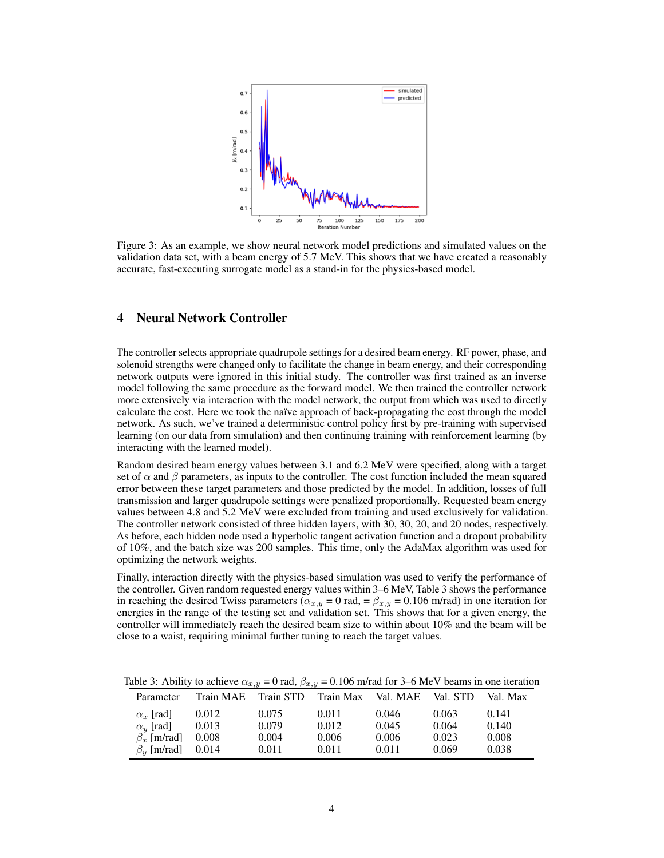

Figure 3: As an example, we show neural network model predictions and simulated values on the validation data set, with a beam energy of 5.7 MeV. This shows that we have created a reasonably accurate, fast-executing surrogate model as a stand-in for the physics-based model.

## 4 Neural Network Controller

The controller selects appropriate quadrupole settings for a desired beam energy. RF power, phase, and solenoid strengths were changed only to facilitate the change in beam energy, and their corresponding network outputs were ignored in this initial study. The controller was first trained as an inverse model following the same procedure as the forward model. We then trained the controller network more extensively via interaction with the model network, the output from which was used to directly calculate the cost. Here we took the naïve approach of back-propagating the cost through the model network. As such, we've trained a deterministic control policy first by pre-training with supervised learning (on our data from simulation) and then continuing training with reinforcement learning (by interacting with the learned model).

Random desired beam energy values between 3.1 and 6.2 MeV were specified, along with a target set of  $\alpha$  and  $\beta$  parameters, as inputs to the controller. The cost function included the mean squared error between these target parameters and those predicted by the model. In addition, losses of full transmission and larger quadrupole settings were penalized proportionally. Requested beam energy values between 4.8 and 5.2 MeV were excluded from training and used exclusively for validation. The controller network consisted of three hidden layers, with 30, 30, 20, and 20 nodes, respectively. As before, each hidden node used a hyperbolic tangent activation function and a dropout probability of 10%, and the batch size was 200 samples. This time, only the AdaMax algorithm was used for optimizing the network weights.

Finally, interaction directly with the physics-based simulation was used to verify the performance of the controller. Given random requested energy values within 3–6 MeV, Table 3 shows the performance in reaching the desired Twiss parameters ( $\alpha_{x,y} = 0$  rad, =  $\beta_{x,y} = 0.106$  m/rad) in one iteration for energies in the range of the testing set and validation set. This shows that for a given energy, the controller will immediately reach the desired beam size to within about 10% and the beam will be close to a waist, requiring minimal further tuning to reach the target values.

| Parameter               |       | Train MAE Train STD Train Max Val. MAE |       |       | Val. STD | Val. Max |
|-------------------------|-------|----------------------------------------|-------|-------|----------|----------|
| $\alpha_r$ [rad]        | 0.012 | 0.075                                  | 0.011 | 0.046 | 0.063    | 0.141    |
| $\alpha_y$ [rad]        | 0.013 | 0.079                                  | 0.012 | 0.045 | 0.064    | 0.140    |
| $\beta_{r}$ [m/rad]     | 0.008 | 0.004                                  | 0.006 | 0.006 | 0.023    | 0.008    |
| $\beta_{\rm v}$ [m/rad] | 0.014 | 0.011                                  | 0.011 | 0.011 | 0.069    | 0.038    |

Table 3: Ability to achieve  $\alpha_{x,y} = 0$  rad,  $\beta_{x,y} = 0.106$  m/rad for 3–6 MeV beams in one iteration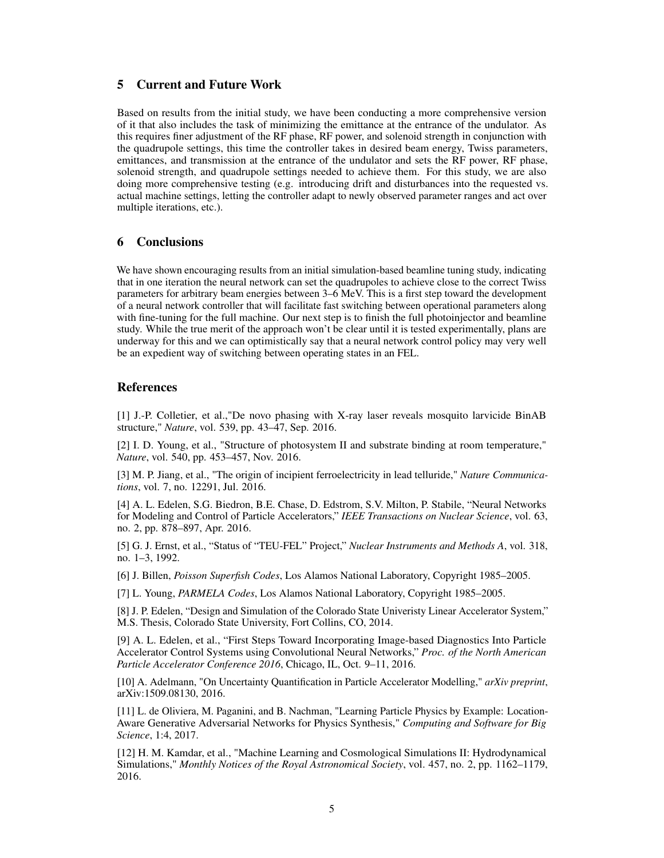## 5 Current and Future Work

Based on results from the initial study, we have been conducting a more comprehensive version of it that also includes the task of minimizing the emittance at the entrance of the undulator. As this requires finer adjustment of the RF phase, RF power, and solenoid strength in conjunction with the quadrupole settings, this time the controller takes in desired beam energy, Twiss parameters, emittances, and transmission at the entrance of the undulator and sets the RF power, RF phase, solenoid strength, and quadrupole settings needed to achieve them. For this study, we are also doing more comprehensive testing (e.g. introducing drift and disturbances into the requested vs. actual machine settings, letting the controller adapt to newly observed parameter ranges and act over multiple iterations, etc.).

# 6 Conclusions

We have shown encouraging results from an initial simulation-based beamline tuning study, indicating that in one iteration the neural network can set the quadrupoles to achieve close to the correct Twiss parameters for arbitrary beam energies between 3–6 MeV. This is a first step toward the development of a neural network controller that will facilitate fast switching between operational parameters along with fine-tuning for the full machine. Our next step is to finish the full photoinjector and beamline study. While the true merit of the approach won't be clear until it is tested experimentally, plans are underway for this and we can optimistically say that a neural network control policy may very well be an expedient way of switching between operating states in an FEL.

# References

[1] J.-P. Colletier, et al.,"De novo phasing with X-ray laser reveals mosquito larvicide BinAB structure," *Nature*, vol. 539, pp. 43–47, Sep. 2016.

[2] I. D. Young, et al., "Structure of photosystem II and substrate binding at room temperature," *Nature*, vol. 540, pp. 453–457, Nov. 2016.

[3] M. P. Jiang, et al., "The origin of incipient ferroelectricity in lead telluride," *Nature Communications*, vol. 7, no. 12291, Jul. 2016.

[4] A. L. Edelen, S.G. Biedron, B.E. Chase, D. Edstrom, S.V. Milton, P. Stabile, "Neural Networks for Modeling and Control of Particle Accelerators," *IEEE Transactions on Nuclear Science*, vol. 63, no. 2, pp. 878–897, Apr. 2016.

[5] G. J. Ernst, et al., "Status of "TEU-FEL" Project," *Nuclear Instruments and Methods A*, vol. 318, no. 1–3, 1992.

[6] J. Billen, *Poisson Superfish Codes*, Los Alamos National Laboratory, Copyright 1985–2005.

[7] L. Young, *PARMELA Codes*, Los Alamos National Laboratory, Copyright 1985–2005.

[8] J. P. Edelen, "Design and Simulation of the Colorado State Univeristy Linear Accelerator System," M.S. Thesis, Colorado State University, Fort Collins, CO, 2014.

[9] A. L. Edelen, et al., "First Steps Toward Incorporating Image-based Diagnostics Into Particle Accelerator Control Systems using Convolutional Neural Networks," *Proc. of the North American Particle Accelerator Conference 2016*, Chicago, IL, Oct. 9–11, 2016.

[10] A. Adelmann, "On Uncertainty Quantification in Particle Accelerator Modelling," *arXiv preprint*, arXiv:1509.08130, 2016.

[11] L. de Oliviera, M. Paganini, and B. Nachman, "Learning Particle Physics by Example: Location-Aware Generative Adversarial Networks for Physics Synthesis," *Computing and Software for Big Science*, 1:4, 2017.

[12] H. M. Kamdar, et al., "Machine Learning and Cosmological Simulations II: Hydrodynamical Simulations," *Monthly Notices of the Royal Astronomical Society*, vol. 457, no. 2, pp. 1162–1179, 2016.